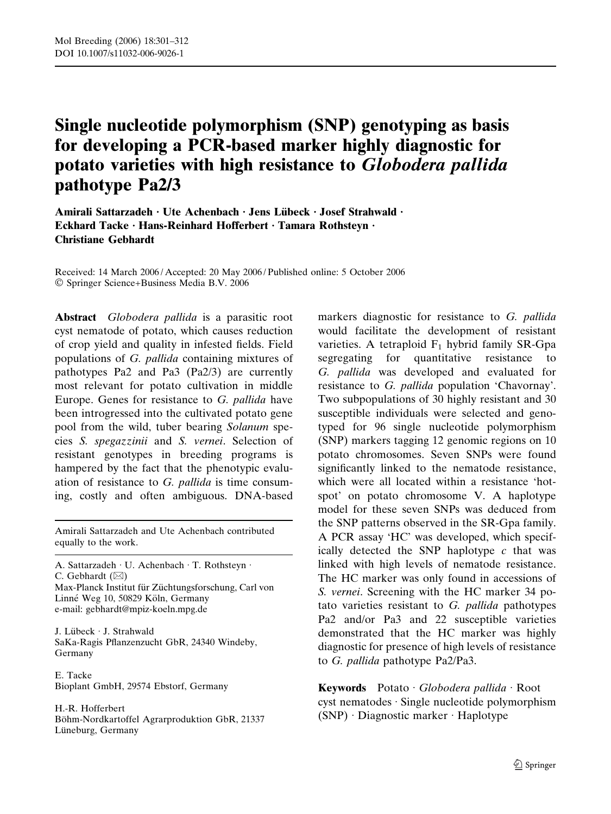# Single nucleotide polymorphism (SNP) genotyping as basis for developing a PCR-based marker highly diagnostic for potato varieties with high resistance to Globodera pallida pathotype Pa2/3

Amirali Sattarzadeh · Ute Achenbach · Jens Lübeck · Josef Strahwald · Eckhard Tacke · Hans-Reinhard Hofferbert · Tamara Rothsteyn · Christiane Gebhardt

Received: 14 March 2006 / Accepted: 20 May 2006 / Published online: 5 October 2006 Springer Science+Business Media B.V. 2006

Abstract Globodera pallida is a parasitic root cyst nematode of potato, which causes reduction of crop yield and quality in infested fields. Field populations of G. pallida containing mixtures of pathotypes Pa2 and Pa3 (Pa2/3) are currently most relevant for potato cultivation in middle Europe. Genes for resistance to G. pallida have been introgressed into the cultivated potato gene pool from the wild, tuber bearing Solanum species S. spegazzinii and S. vernei. Selection of resistant genotypes in breeding programs is hampered by the fact that the phenotypic evaluation of resistance to G. pallida is time consuming, costly and often ambiguous. DNA-based

Amirali Sattarzadeh and Ute Achenbach contributed equally to the work.

A. Sattarzadeh · U. Achenbach · T. Rothsteyn · C. Gebhardt  $(\boxtimes)$ Max-Planck Institut für Züchtungsforschung, Carl von Linné Weg 10, 50829 Köln, Germany e-mail: gebhardt@mpiz-koeln.mpg.de

J. Lübeck · J. Strahwald SaKa-Ragis Pflanzenzucht GbR, 24340 Windeby, Germany

E. Tacke Bioplant GmbH, 29574 Ebstorf, Germany

H.-R. Hofferbert Böhm-Nordkartoffel Agrarproduktion GbR, 21337 Lüneburg, Germany

markers diagnostic for resistance to G. pallida would facilitate the development of resistant varieties. A tetraploid  $F_1$  hybrid family SR-Gpa segregating for quantitative resistance to G. pallida was developed and evaluated for resistance to G. pallida population 'Chavornay'. Two subpopulations of 30 highly resistant and 30 susceptible individuals were selected and genotyped for 96 single nucleotide polymorphism (SNP) markers tagging 12 genomic regions on 10 potato chromosomes. Seven SNPs were found significantly linked to the nematode resistance, which were all located within a resistance 'hotspot' on potato chromosome V. A haplotype model for these seven SNPs was deduced from the SNP patterns observed in the SR-Gpa family. A PCR assay 'HC' was developed, which specifically detected the SNP haplotype  $c$  that was linked with high levels of nematode resistance. The HC marker was only found in accessions of S. vernei. Screening with the HC marker 34 potato varieties resistant to G. pallida pathotypes Pa2 and/or Pa3 and 22 susceptible varieties demonstrated that the HC marker was highly diagnostic for presence of high levels of resistance to G. pallida pathotype Pa2/Pa3.

Keywords Potato  $·$  Globodera pallida  $·$  Root cyst nematodes  $\cdot$  Single nucleotide polymorphism  $(SNP) \cdot$  Diagnostic marker  $\cdot$  Haplotype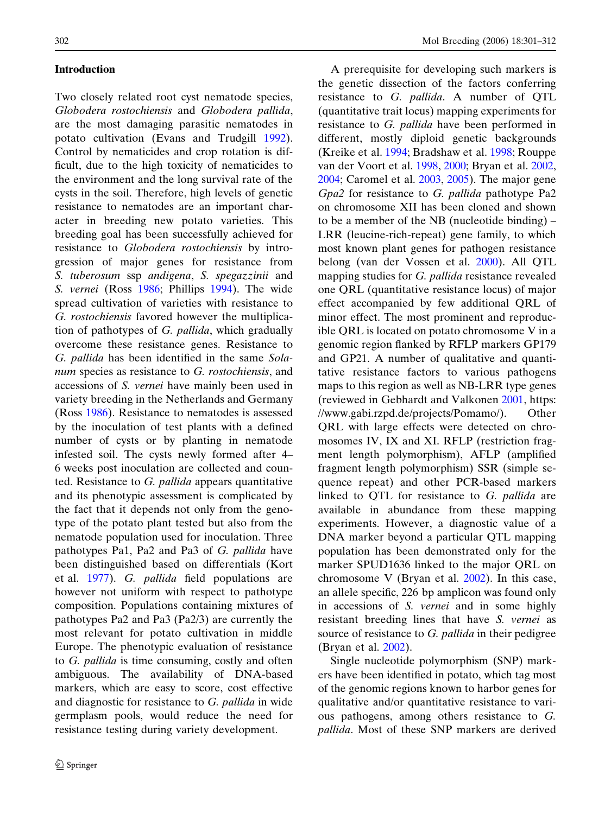#### Introduction

Two closely related root cyst nematode species, Globodera rostochiensis and Globodera pallida, are the most damaging parasitic nematodes in potato cultivation (Evans and Trudgill [1992\)](#page-11-0). Control by nematicides and crop rotation is difficult, due to the high toxicity of nematicides to the environment and the long survival rate of the cysts in the soil. Therefore, high levels of genetic resistance to nematodes are an important character in breeding new potato varieties. This breeding goal has been successfully achieved for resistance to Globodera rostochiensis by introgression of major genes for resistance from S. tuberosum ssp andigena, S. spegazzinii and S. vernei (Ross [1986;](#page-11-0) Phillips [1994](#page-11-0)). The wide spread cultivation of varieties with resistance to G. rostochiensis favored however the multiplication of pathotypes of G. pallida, which gradually overcome these resistance genes. Resistance to G. pallida has been identified in the same Solanum species as resistance to G. rostochiensis, and accessions of S. vernei have mainly been used in variety breeding in the Netherlands and Germany (Ross [1986\)](#page-11-0). Resistance to nematodes is assessed by the inoculation of test plants with a defined number of cysts or by planting in nematode infested soil. The cysts newly formed after 4– 6 weeks post inoculation are collected and counted. Resistance to G. pallida appears quantitative and its phenotypic assessment is complicated by the fact that it depends not only from the genotype of the potato plant tested but also from the nematode population used for inoculation. Three pathotypes Pa1, Pa2 and Pa3 of G. pallida have been distinguished based on differentials (Kort et al. [1977\)](#page-11-0). G. pallida field populations are however not uniform with respect to pathotype composition. Populations containing mixtures of pathotypes Pa2 and Pa3 (Pa2/3) are currently the most relevant for potato cultivation in middle Europe. The phenotypic evaluation of resistance to G. pallida is time consuming, costly and often ambiguous. The availability of DNA-based markers, which are easy to score, cost effective and diagnostic for resistance to G. pallida in wide germplasm pools, would reduce the need for resistance testing during variety development.

A prerequisite for developing such markers is the genetic dissection of the factors conferring resistance to G. pallida. A number of QTL (quantitative trait locus) mapping experiments for resistance to G. pallida have been performed in different, mostly diploid genetic backgrounds (Kreike et al. [1994](#page-11-0); Bradshaw et al. [1998](#page-11-0); Rouppe van der Voort et al. [1998](#page-11-0), [2000;](#page-11-0) Bryan et al. [2002,](#page-11-0) [2004;](#page-11-0) Caromel et al. [2003,](#page-11-0) [2005](#page-11-0)). The major gene Gpa2 for resistance to G. pallida pathotype Pa2 on chromosome XII has been cloned and shown to be a member of the NB (nucleotide binding) – LRR (leucine-rich-repeat) gene family, to which most known plant genes for pathogen resistance belong (van der Vossen et al. [2000\)](#page-11-0). All QTL mapping studies for G. pallida resistance revealed one QRL (quantitative resistance locus) of major effect accompanied by few additional QRL of minor effect. The most prominent and reproducible QRL is located on potato chromosome V in a genomic region flanked by RFLP markers GP179 and GP21. A number of qualitative and quantitative resistance factors to various pathogens maps to this region as well as NB-LRR type genes (reviewed in Gebhardt and Valkonen [2001,](#page-11-0) https: //www.gabi.rzpd.de/projects/Pomamo/). Other QRL with large effects were detected on chromosomes IV, IX and XI. RFLP (restriction fragment length polymorphism), AFLP (amplified fragment length polymorphism) SSR (simple sequence repeat) and other PCR-based markers linked to QTL for resistance to G. pallida are available in abundance from these mapping experiments. However, a diagnostic value of a DNA marker beyond a particular QTL mapping population has been demonstrated only for the marker SPUD1636 linked to the major QRL on chromosome V (Bryan et al. [2002](#page-11-0)). In this case, an allele specific, 226 bp amplicon was found only in accessions of S. vernei and in some highly resistant breeding lines that have S. vernei as source of resistance to G. pallida in their pedigree (Bryan et al. [2002\)](#page-11-0).

Single nucleotide polymorphism (SNP) markers have been identified in potato, which tag most of the genomic regions known to harbor genes for qualitative and/or quantitative resistance to various pathogens, among others resistance to G. pallida. Most of these SNP markers are derived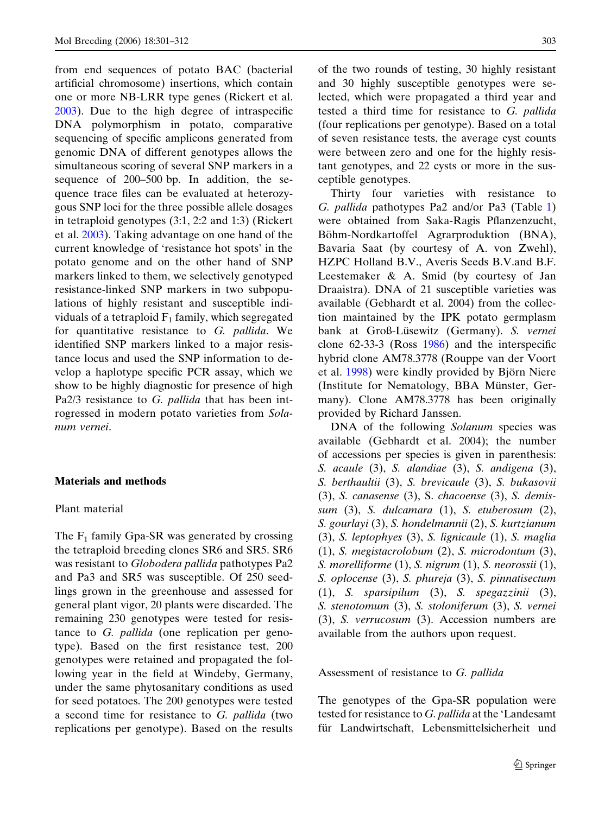from end sequences of potato BAC (bacterial artificial chromosome) insertions, which contain one or more NB-LRR type genes (Rickert et al. [2003\)](#page-11-0). Due to the high degree of intraspecific DNA polymorphism in potato, comparative sequencing of specific amplicons generated from genomic DNA of different genotypes allows the simultaneous scoring of several SNP markers in a sequence of 200–500 bp. In addition, the sequence trace files can be evaluated at heterozygous SNP loci for the three possible allele dosages in tetraploid genotypes (3:1, 2:2 and 1:3) (Rickert et al. [2003](#page-11-0)). Taking advantage on one hand of the current knowledge of 'resistance hot spots' in the potato genome and on the other hand of SNP markers linked to them, we selectively genotyped resistance-linked SNP markers in two subpopulations of highly resistant and susceptible individuals of a tetraploid  $F_1$  family, which segregated for quantitative resistance to G. pallida. We identified SNP markers linked to a major resistance locus and used the SNP information to develop a haplotype specific PCR assay, which we show to be highly diagnostic for presence of high Pa2/3 resistance to G. pallida that has been introgressed in modern potato varieties from Solanum vernei.

## Materials and methods

#### Plant material

The  $F_1$  family Gpa-SR was generated by crossing the tetraploid breeding clones SR6 and SR5. SR6 was resistant to Globodera pallida pathotypes Pa2 and Pa3 and SR5 was susceptible. Of 250 seedlings grown in the greenhouse and assessed for general plant vigor, 20 plants were discarded. The remaining 230 genotypes were tested for resistance to G. pallida (one replication per genotype). Based on the first resistance test, 200 genotypes were retained and propagated the following year in the field at Windeby, Germany, under the same phytosanitary conditions as used for seed potatoes. The 200 genotypes were tested a second time for resistance to G. pallida (two replications per genotype). Based on the results

of the two rounds of testing, 30 highly resistant and 30 highly susceptible genotypes were selected, which were propagated a third year and tested a third time for resistance to G. pallida (four replications per genotype). Based on a total of seven resistance tests, the average cyst counts were between zero and one for the highly resistant genotypes, and 22 cysts or more in the susceptible genotypes.

Thirty four varieties with resistance to G. pallida pathotypes Pa2 and/or Pa3 (Table [1](#page-3-0)) were obtained from Saka-Ragis Pflanzenzucht, Böhm-Nordkartoffel Agrarproduktion (BNA), Bavaria Saat (by courtesy of A. von Zwehl), HZPC Holland B.V., Averis Seeds B.V.and B.F. Leestemaker & A. Smid (by courtesy of Jan Draaistra). DNA of 21 susceptible varieties was available (Gebhardt et al. 2004) from the collection maintained by the IPK potato germplasm bank at Groß-Lüsewitz (Germany). S. vernei clone 62-33-3 (Ross [1986](#page-11-0)) and the interspecific hybrid clone AM78.3778 (Rouppe van der Voort et al. [1998\)](#page-11-0) were kindly provided by Björn Niere (Institute for Nematology, BBA Münster, Germany). Clone AM78.3778 has been originally provided by Richard Janssen.

DNA of the following Solanum species was available (Gebhardt et al. 2004); the number of accessions per species is given in parenthesis: S. acaule (3), S. alandiae (3), S. andigena (3), S. berthaultii (3), S. brevicaule (3), S. bukasovii (3), S. canasense (3), S. chacoense (3), S. demissum (3), S. dulcamara (1), S. etuberosum (2), S. gourlayi (3), S. hondelmannii (2), S. kurtzianum (3), S. leptophyes (3), S. lignicaule (1), S. maglia (1), S. megistacrolobum (2), S. microdontum (3), S. morelliforme (1), S. nigrum (1), S. neorossii (1), S. oplocense (3), S. phureja (3), S. pinnatisectum (1), S. sparsipilum (3), S. spegazzinii (3), S. stenotomum (3), S. stoloniferum (3), S. vernei (3), S. verrucosum (3). Accession numbers are available from the authors upon request.

#### Assessment of resistance to G. pallida

The genotypes of the Gpa-SR population were tested for resistance to G. pallida at the 'Landesamt für Landwirtschaft, Lebensmittelsicherheit und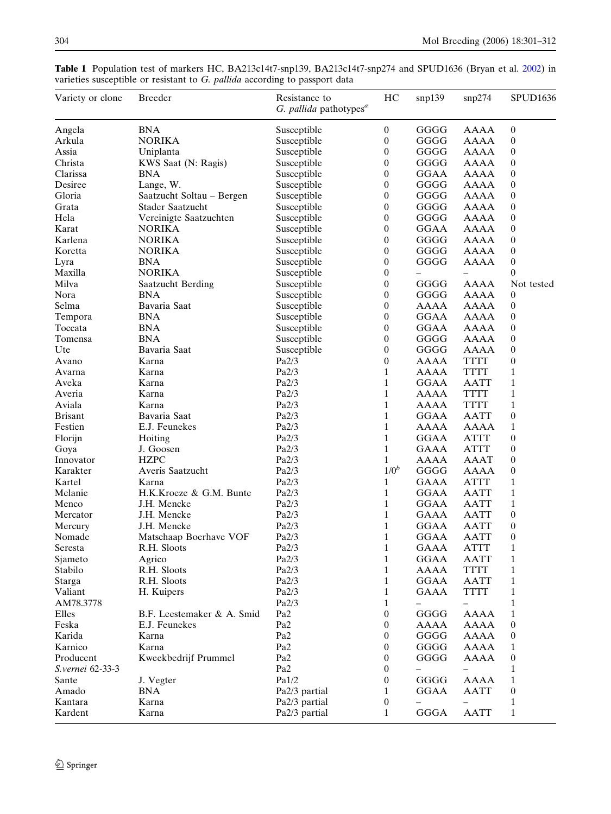| Variety or clone                                                         | <b>Breeder</b>             | Resistance to<br>G. pallida pathotypes <sup>a</sup> | HC               | sup139            | snp274            | <b>SPUD1636</b>  |
|--------------------------------------------------------------------------|----------------------------|-----------------------------------------------------|------------------|-------------------|-------------------|------------------|
| Angela                                                                   | <b>BNA</b>                 | Susceptible                                         | $\boldsymbol{0}$ | GGGG              | AAAA              | $\boldsymbol{0}$ |
| Arkula                                                                   | <b>NORIKA</b>              | Susceptible                                         | $\boldsymbol{0}$ | GGGG              | AAAA              | $\boldsymbol{0}$ |
| Assia                                                                    | Uniplanta                  | Susceptible                                         | $\boldsymbol{0}$ | GGGG              | AAAA              | $\boldsymbol{0}$ |
| Christa                                                                  | KWS Saat (N: Ragis)        | Susceptible                                         | 0                | GGGG              | AAAA              | $\boldsymbol{0}$ |
| Clarissa                                                                 | <b>BNA</b>                 | Susceptible                                         | $\boldsymbol{0}$ | GGAA              | AAAA              | 0                |
| Desiree                                                                  | Lange, W.                  | Susceptible                                         | $\boldsymbol{0}$ | GGGG              | AAAA              | $\boldsymbol{0}$ |
| Gloria                                                                   | Saatzucht Soltau - Bergen  | Susceptible                                         | $\boldsymbol{0}$ | GGGG              | AAAA              | $\boldsymbol{0}$ |
| Grata                                                                    | Stader Saatzucht           | Susceptible                                         | $\boldsymbol{0}$ | GGGG              | AAAA              | $\boldsymbol{0}$ |
| Hela                                                                     | Vereinigte Saatzuchten     | Susceptible                                         | $\boldsymbol{0}$ | GGGG              | AAAA              | $\boldsymbol{0}$ |
| Karat                                                                    | <b>NORIKA</b>              | Susceptible                                         | $\boldsymbol{0}$ | GGAA              | AAAA              | $\boldsymbol{0}$ |
| Karlena                                                                  | <b>NORIKA</b>              | Susceptible                                         | $\boldsymbol{0}$ | GGGG              | AAAA              | $\boldsymbol{0}$ |
| Koretta                                                                  | NORIKA                     | Susceptible                                         | $\boldsymbol{0}$ | GGGG              | AAAA              | $\boldsymbol{0}$ |
| Lyra                                                                     | <b>BNA</b>                 | Susceptible                                         | 0                | GGGG              | AAAA              | $\boldsymbol{0}$ |
| Maxilla                                                                  | <b>NORIKA</b>              | Susceptible                                         | $\boldsymbol{0}$ | $\qquad \qquad -$ | $\qquad \qquad -$ | $\boldsymbol{0}$ |
| Milva                                                                    | Saatzucht Berding          | Susceptible                                         | $\boldsymbol{0}$ | GGGG              | AAAA              | Not tested       |
| Nora                                                                     | BNA                        | Susceptible                                         | 0                | GGGG              | AAAA              | $\boldsymbol{0}$ |
| Selma                                                                    | Bavaria Saat               | Susceptible                                         | $\boldsymbol{0}$ | AAAA              | AAAA              | $\boldsymbol{0}$ |
| Tempora                                                                  | <b>BNA</b>                 | Susceptible                                         | 0                | GGAA              | AAAA              | 0                |
| Toccata                                                                  | BNA                        | Susceptible                                         | $\boldsymbol{0}$ | GGAA              | AAAA              | $\boldsymbol{0}$ |
| Tomensa                                                                  | <b>BNA</b>                 | Susceptible                                         | $\boldsymbol{0}$ | GGGG              | AAAA              | 0                |
| Ute                                                                      | Bavaria Saat               | Susceptible                                         | $\boldsymbol{0}$ | GGGG              | AAAA              | $\boldsymbol{0}$ |
| Avano                                                                    | Karna                      | Pa2/3                                               | $\boldsymbol{0}$ | AAAA              | TTTT              | $\boldsymbol{0}$ |
| Avarna                                                                   | Karna                      | Pa2/3                                               | $\mathbf 1$      | AAAA              | TTTT              | $\mathbf 1$      |
| Aveka                                                                    | Karna                      | Pa2/3                                               | 1                | GGAA              | <b>AATT</b>       | 1                |
| Averia                                                                   | Karna                      | Pa2/3                                               | $\mathbf{1}$     | AAAA              | <b>TTTT</b>       | $\mathbf{1}$     |
| Aviala                                                                   | Karna                      | Pa2/3                                               | $\mathbf 1$      | AAAA              | <b>TTTT</b>       | $\mathbf 1$      |
| <b>Brisant</b>                                                           | Bavaria Saat               | Pa2/3                                               | $\mathbf 1$      | GGAA              | <b>AATT</b>       | $\boldsymbol{0}$ |
| Festien                                                                  | E.J. Feunekes              | Pa2/3                                               | $\mathbf{1}$     | AAAA              | AAAA              | $\mathbf{1}$     |
| Florijn                                                                  | Hoiting                    | Pa2/3                                               | $\mathbf 1$      | <b>GGAA</b>       | <b>ATTT</b>       | $\boldsymbol{0}$ |
| Goya                                                                     | J. Goosen                  | Pa2/3                                               | 1                | GAAA              | ATTT              | 0                |
| Innovator                                                                | <b>HZPC</b>                | Pa2/3                                               | $\mathbf{1}$     | AAAA              | <b>AAAT</b>       | $\boldsymbol{0}$ |
| Karakter                                                                 | Averis Saatzucht           | Pa2/3                                               | $1/0^b$          | GGGG              | AAAA              | 0                |
| Kartel                                                                   | Karna                      | Pa2/3                                               | $\mathbf 1$      | GAAA              | ATTT              | $\mathbf{1}$     |
| Melanie                                                                  | H.K.Kroeze & G.M. Bunte    | Pa2/3                                               | $\mathbf{1}$     | GGAA              | AATT              | $\mathbf{1}$     |
| Menco                                                                    | J.H. Mencke                | Pa2/3                                               | $\mathbf 1$      | GGAA              | <b>AATT</b>       | 1                |
| Mercator                                                                 | J.H. Mencke                | Pa2/3                                               | $\mathbf 1$      | GAAA              | AATT              | $\boldsymbol{0}$ |
| Mercury                                                                  | J.H. Mencke                | Pa2/3                                               | $\mathbf{1}$     | GGAA              | <b>AATT</b>       | $\boldsymbol{0}$ |
| Nomade                                                                   | Matschaap Boerhave VOF     | Pa2/3                                               | 1                | GGAA              | AATT              | $\boldsymbol{0}$ |
| Seresta                                                                  | R.H. Sloots                | Pa2/3                                               | $\mathbf{1}$     | GAAA              | <b>ATTT</b>       | $\mathbf{1}$     |
| Sjameto                                                                  | Agrico                     | Pa2/3                                               | $\mathbf{1}$     | <b>GGAA</b>       | <b>AATT</b>       | $\mathbf{1}$     |
| Stabilo                                                                  | R.H. Sloots                | Pa2/3                                               | 1                | AAAA              | TTTT              | $\mathbf{1}$     |
| $\operatorname*{Starga}% \nolimits_{\mathbb{Z}}\left( \mathbb{Z}\right)$ | R.H. Sloots                | Pa2/3                                               | $\mathbf{1}$     | $_{\rm GGA}$      | <b>AATT</b>       | $\,1\,$          |
| Valiant                                                                  | H. Kuipers                 | Pa2/3                                               | $\mathbf{1}$     | GAAA              | <b>TTTT</b>       | $\mathbf{1}$     |
| AM78.3778                                                                |                            | Pa2/3                                               | 1                |                   |                   | $\mathbf{1}$     |
| Elles                                                                    | B.F. Leestemaker & A. Smid | Pa <sub>2</sub>                                     | $\boldsymbol{0}$ | GGGG              | <b>AAAA</b>       | $\mathbf{1}$     |
| Feska                                                                    | E.J. Feunekes              | Pa <sub>2</sub>                                     | 0                | AAAA              | <b>AAAA</b>       | $\boldsymbol{0}$ |
| Karida                                                                   | Karna                      | Pa <sub>2</sub>                                     | 0                | GGGG              | AAAA              | 0                |
| Karnico                                                                  | Karna                      | Pa <sub>2</sub>                                     | $\boldsymbol{0}$ | GGGG              | AAAA              | $\mathbf{1}$     |
| Producent                                                                | Kweekbedrijf Prummel       | Pa <sub>2</sub>                                     | 0                | GGGG              | AAAA              | $\boldsymbol{0}$ |
| S.vernei 62-33-3                                                         |                            | Pa <sub>2</sub>                                     | 0                |                   |                   | $\mathbf 1$      |
| Sante                                                                    | J. Vegter                  | Pa1/2                                               | $\boldsymbol{0}$ | GGGG              | <b>AAAA</b>       | $\mathbf{1}$     |
| Amado                                                                    | <b>BNA</b>                 | Pa2/3 partial                                       | 1                | GGAA              | AATT              | $\boldsymbol{0}$ |
| Kantara                                                                  | Karna                      | Pa2/3 partial                                       | 0                |                   |                   | $\mathbf{1}$     |
| Kardent                                                                  | Karna                      | Pa2/3 partial                                       | 1                | GGGA              | <b>AATT</b>       | $\mathbf{1}$     |
|                                                                          |                            |                                                     |                  |                   |                   |                  |

<span id="page-3-0"></span>

|  | <b>Table 1</b> Population test of markers HC, BA213c14t7-snp139, BA213c14t7-snp274 and SPUD1636 (Bryan et al. 2002) in |  |  |  |  |
|--|------------------------------------------------------------------------------------------------------------------------|--|--|--|--|
|  | varieties susceptible or resistant to G. pallida according to passport data                                            |  |  |  |  |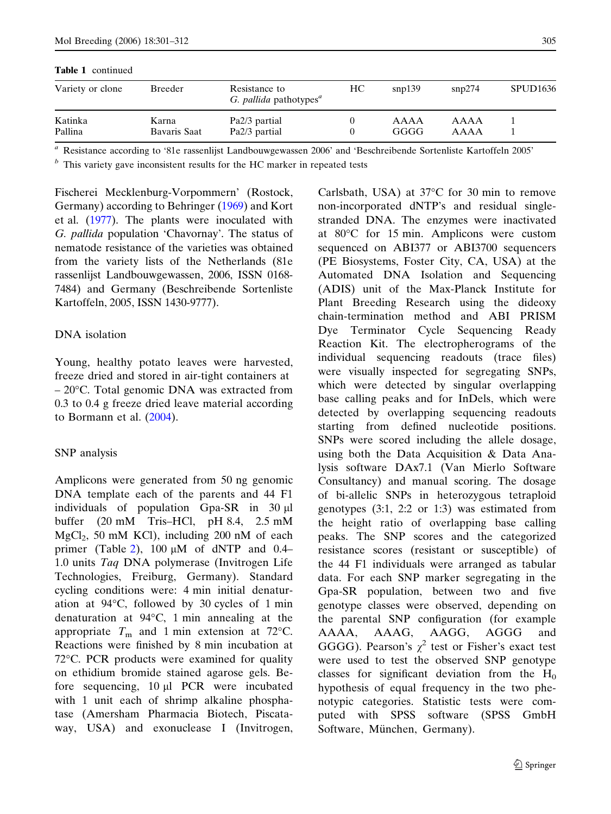| <b>Table 1</b> continued |
|--------------------------|
|                          |

| Variety or clone   | <b>Breeder</b>        | Resistance to<br>G. pallida pathotypes <sup>a</sup> | HС | snp139       | snp274       | SPUD <sub>1636</sub> |
|--------------------|-----------------------|-----------------------------------------------------|----|--------------|--------------|----------------------|
| Katinka<br>Pallina | Karna<br>Bavaris Saat | Pa2/3 partial<br>Pa2/3 partial                      | 0  | AAAA<br>GGGG | AAAA<br>AAAA |                      |

<sup>a</sup> Resistance according to '81e rassenlijst Landbouwgewassen 2006' and 'Beschreibende Sortenliste Kartoffeln 2005'

 $<sup>b</sup>$  This variety gave inconsistent results for the HC marker in repeated tests</sup>

Fischerei Mecklenburg-Vorpommern' (Rostock, Germany) according to Behringer ([1969](#page-11-0)) and Kort et al. [\(1977\)](#page-11-0). The plants were inoculated with G. pallida population 'Chavornay'. The status of nematode resistance of the varieties was obtained from the variety lists of the Netherlands (81e rassenlijst Landbouwgewassen, 2006, ISSN 0168- 7484) and Germany (Beschreibende Sortenliste Kartoffeln, 2005, ISSN 1430-9777).

## DNA isolation

Young, healthy potato leaves were harvested, freeze dried and stored in air-tight containers at – 20°C. Total genomic DNA was extracted from 0.3 to 0.4 g freeze dried leave material according to Bormann et al. [\(2004\)](#page-11-0).

# SNP analysis

Amplicons were generated from 50 ng genomic DNA template each of the parents and 44 F1 individuals of population Gpa-SR in  $30 \mu l$ buffer (20 mM Tris–HCl, pH 8.4, 2.5 mM  $MgCl<sub>2</sub>$ , 50 mM KCl), including 200 nM of each primer (Table [2\)](#page-5-0), 100  $\mu$ M of dNTP and 0.4– 1.0 units Taq DNA polymerase (Invitrogen Life Technologies, Freiburg, Germany). Standard cycling conditions were: 4 min initial denaturation at 94°C, followed by 30 cycles of 1 min denaturation at  $94^{\circ}$ C, 1 min annealing at the appropriate  $T_{\text{m}}$  and 1 min extension at 72°C. Reactions were finished by 8 min incubation at 72°C. PCR products were examined for quality on ethidium bromide stained agarose gels. Before sequencing,  $10 \mu l$  PCR were incubated with 1 unit each of shrimp alkaline phosphatase (Amersham Pharmacia Biotech, Piscataway, USA) and exonuclease I (Invitrogen,

Carlsbath, USA) at  $37^{\circ}$ C for 30 min to remove non-incorporated dNTP's and residual singlestranded DNA. The enzymes were inactivated at 80<sup>o</sup>C for 15 min. Amplicons were custom sequenced on ABI377 or ABI3700 sequencers (PE Biosystems, Foster City, CA, USA) at the Automated DNA Isolation and Sequencing (ADIS) unit of the Max-Planck Institute for Plant Breeding Research using the dideoxy chain-termination method and ABI PRISM Dye Terminator Cycle Sequencing Ready Reaction Kit. The electropherograms of the individual sequencing readouts (trace files) were visually inspected for segregating SNPs, which were detected by singular overlapping base calling peaks and for InDels, which were detected by overlapping sequencing readouts starting from defined nucleotide positions. SNPs were scored including the allele dosage, using both the Data Acquisition & Data Analysis software DAx7.1 (Van Mierlo Software Consultancy) and manual scoring. The dosage of bi-allelic SNPs in heterozygous tetraploid genotypes (3:1, 2:2 or 1:3) was estimated from the height ratio of overlapping base calling peaks. The SNP scores and the categorized resistance scores (resistant or susceptible) of the 44 F1 individuals were arranged as tabular data. For each SNP marker segregating in the Gpa-SR population, between two and five genotype classes were observed, depending on the parental SNP configuration (for example AAAA, AAAG, AAGG, AGGG and GGGG). Pearson's  $\chi^2$  test or Fisher's exact test were used to test the observed SNP genotype classes for significant deviation from the  $H_0$ hypothesis of equal frequency in the two phenotypic categories. Statistic tests were computed with SPSS software (SPSS GmbH Software, München, Germany).

 $\textcircled{2}$  Springer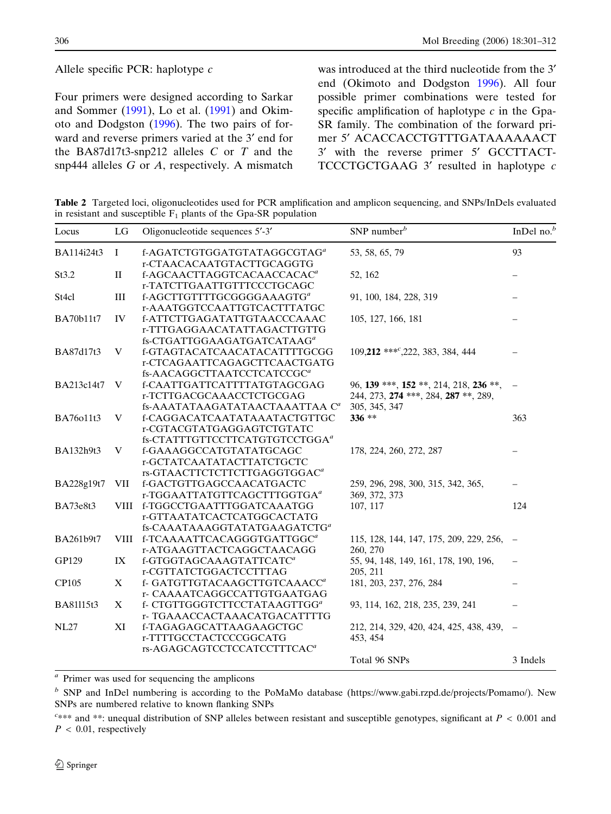## <span id="page-5-0"></span>Allele specific PCR: haplotype c

Four primers were designed according to Sarkar and Sommer ([1991\)](#page-11-0), Lo et al. [\(1991](#page-11-0)) and Okimoto and Dodgston ([1996\)](#page-11-0). The two pairs of forward and reverse primers varied at the 3' end for the BA87d17t3-snp212 alleles C or T and the snp444 alleles G or A, respectively. A mismatch was introduced at the third nucleotide from the 3<sup>'</sup> end (Okimoto and Dodgston [1996\)](#page-11-0). All four possible primer combinations were tested for specific amplification of haplotype  $c$  in the Gpa-SR family. The combination of the forward primer 5¢ ACACCACCTGTTTGATAAAAAACT 3¢ with the reverse primer 5¢ GCCTTACT-TCCCTGCTGAAG  $3'$  resulted in haplotype  $c$ 

Table 2 Targeted loci, oligonucleotides used for PCR amplification and amplicon sequencing, and SNPs/InDels evaluated in resistant and susceptible  $F_1$  plants of the Gpa-SR population

| Locus             | LG           | Oligonucleotide sequences 5'-3'                                                                                 | SNP number $b$                                                                 | InDel no. $b$ |
|-------------------|--------------|-----------------------------------------------------------------------------------------------------------------|--------------------------------------------------------------------------------|---------------|
| BA114i24t3        | $\bf{I}$     | f-AGATCTGTGGATGTATAGGCGTAG <sup>a</sup><br>r-CTAACACAATGTACTTGCAGGTG                                            | 53, 58, 65, 79                                                                 | 93            |
| St3.2             | $\mathbf{I}$ | f-AGCAACTTAGGTCACAACCACAC <sup>a</sup><br>r-TATCTTGAATTGTTTCCCTGCAGC                                            | 52, 162                                                                        |               |
| St <sub>4cl</sub> | III          | f-AGCTTGTTTTGCGGGGAAAGTG <sup>a</sup><br>r-AAATGGTCCAATTGTCACTTTATGC                                            | 91, 100, 184, 228, 319                                                         |               |
| BA70b11t7         | IV           | f-ATTCTTGAGATATTGTAACCCAAAC<br>r-TTTGAGGAACATATTAGACTTGTTG                                                      | 105, 127, 166, 181                                                             |               |
| BA87d17t3         | V            | fs-CTGATTGGAAGATGATCATAAG <sup>a</sup><br>f-GTAGTACATCAACATACATTTTGCGG<br>r-CTCAGAATTCAGAGCTTCAACTGATG          | 109,212 *** <sup>c</sup> ,222, 383, 384, 444                                   |               |
| BA213c14t7        | V            | fs-AACAGGCTTAATCCTCATCCGC <sup>a</sup><br>f-CAATTGATTCATTTTATGTAGCGAG<br>r-TCTTGACGCAAACCTCTGCGAG               | 96, 139 ***, 152 **, 214, 218, 236 **,<br>244, 273, 274 ***, 284, 287 **, 289, |               |
| BA76o11t3         | V            | fs-AAATATAAGATATAACTAAATTAA C <sup>a</sup><br>f-CAGGACATCAATATAAATACTGTTGC<br>r-CGTACGTATGAGGAGTCTGTATC         | 305, 345, 347<br>$336**$                                                       | 363           |
| BA132h9t3         | V            | fs-CTATTTGTTCCTTCATGTGTCCTGGA <sup>a</sup><br>f-GAAAGGCCATGTATATGCAGC<br>r-GCTATCAATATACTTATCTGCTC              | 178, 224, 260, 272, 287                                                        |               |
| BA228g19t7        | VII          | rs-GTAACTTCTCTTCTTGAGGTGGAC <sup>a</sup><br>f-GACTGTTGAGCCAACATGACTC<br>r-TGGAATTATGTTCAGCTTTGGTGA <sup>a</sup> | 259, 296, 298, 300, 315, 342, 365,<br>369, 372, 373                            |               |
| BA73e8t3          | <b>VIII</b>  | f-TGGCCTGAATTTGGATCAAATGG<br>r-GTTAATATCACTCATGGCACTATG                                                         | 107, 117                                                                       | 124           |
| BA261b9t7         | VIII         | fs-CAAATAAAGGTATATGAAGATCTG <sup>a</sup><br>f-TCAAAATTCACAGGGTGATTGGC <sup>a</sup><br>r-ATGAAGTTACTCAGGCTAACAGG | 115, 128, 144, 147, 175, 209, 229, 256,<br>260, 270                            |               |
| GP129             | IX           | f-GTGGTAGCAAAGTATTCATC <sup>a</sup><br>r-CGTTATCTGGACTCCTTTAG                                                   | 55, 94, 148, 149, 161, 178, 190, 196,<br>205, 211                              |               |
| CP105             | X            | f-GATGTTGTACAAGCTTGTCAAACC <sup>a</sup><br>r- CAAAATCAGGCCATTGTGAATGAG                                          | 181, 203, 237, 276, 284                                                        |               |
| BA81115t3         | X            | f- CTGTTGGGTCTTCCTATAAGTTGG <sup>a</sup><br>r- TGAAACCACTAAACATGACATTTTG                                        | 93, 114, 162, 218, 235, 239, 241                                               |               |
| <b>NL27</b>       | XI           | f-TAGAGAGCATTAAGAAGCTGC<br>r-TTTTGCCTACTCCCGGCATG<br>rs-AGAGCAGTCCTCCATCCTTTCAC <sup>a</sup>                    | 212, 214, 329, 420, 424, 425, 438, 439, -<br>453, 454                          |               |
|                   |              |                                                                                                                 | Total 96 SNPs                                                                  | 3 Indels      |

 $a$  Primer was used for sequencing the amplicons

 $b$  SNP and InDel numbering is according to the PoMaMo database (https://www.gabi.rzpd.de/projects/Pomamo/). New SNPs are numbered relative to known flanking SNPs

 $c***$  and  $**$ : unequal distribution of SNP alleles between resistant and susceptible genotypes, significant at  $P < 0.001$  and  $P < 0.01$ , respectively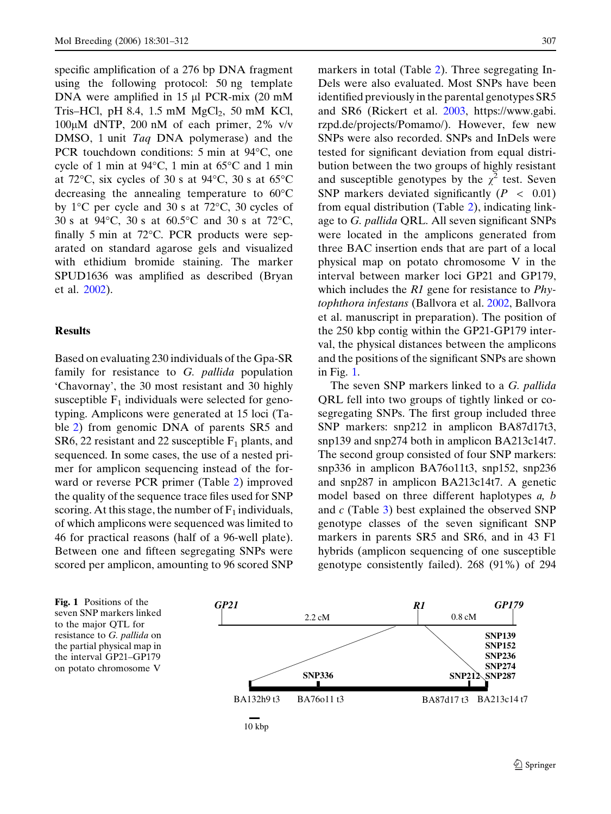specific amplification of a 276 bp DNA fragment using the following protocol: 50 ng template DNA were amplified in  $15 \mu$ I PCR-mix (20 mM Tris–HCl, pH 8.4, 1.5 mM  $MgCl<sub>2</sub>$ , 50 mM KCl, 100μM dNTP, 200 nM of each primer, 2% v/v DMSO, 1 unit Taq DNA polymerase) and the PCR touchdown conditions: 5 min at 94 °C, one cycle of 1 min at  $94^{\circ}$ C, 1 min at 65 $^{\circ}$ C and 1 min at 72 $\rm ^{o}C$ , six cycles of 30 s at 94 $\rm ^{o}C$ , 30 s at 65 $\rm ^{o}C$ decreasing the annealing temperature to  $60^{\circ}$ C by  $1^{\circ}$ C per cycle and 30 s at 72 $^{\circ}$ C, 30 cycles of 30 s at 94 $\degree$ C, 30 s at 60.5 $\degree$ C and 30 s at 72 $\degree$ C, finally 5 min at 72°C. PCR products were separated on standard agarose gels and visualized with ethidium bromide staining. The marker SPUD1636 was amplified as described (Bryan et al. [2002\)](#page-11-0).

### **Results**

Based on evaluating 230 individuals of the Gpa-SR family for resistance to G. pallida population 'Chavornay', the 30 most resistant and 30 highly susceptible  $F_1$  individuals were selected for genotyping. Amplicons were generated at 15 loci (Table [2](#page-5-0)) from genomic DNA of parents SR5 and SR6, 22 resistant and 22 susceptible  $F_1$  plants, and sequenced. In some cases, the use of a nested primer for amplicon sequencing instead of the forward or reverse PCR primer (Table [2](#page-5-0)) improved the quality of the sequence trace files used for SNP scoring. At this stage, the number of  $F_1$  individuals, of which amplicons were sequenced was limited to 46 for practical reasons (half of a 96-well plate). Between one and fifteen segregating SNPs were scored per amplicon, amounting to 96 scored SNP markers in total (Table [2\)](#page-5-0). Three segregating In-Dels were also evaluated. Most SNPs have been identified previously in the parental genotypes SR5 and SR6 (Rickert et al. [2003](#page-11-0), https://www.gabi. rzpd.de/projects/Pomamo/). However, few new SNPs were also recorded. SNPs and InDels were tested for significant deviation from equal distribution between the two groups of highly resistant and susceptible genotypes by the  $\chi^2$  test. Seven SNP markers deviated significantly ( $P < 0.01$ ) from equal distribution (Table [2](#page-5-0)), indicating linkage to G. *pallida* QRL. All seven significant SNPs were located in the amplicons generated from three BAC insertion ends that are part of a local physical map on potato chromosome V in the interval between marker loci GP21 and GP179, which includes the  $R1$  gene for resistance to  $Phy$ tophthora infestans (Ballvora et al. [2002,](#page-11-0) Ballvora et al. manuscript in preparation). The position of the 250 kbp contig within the GP21-GP179 interval, the physical distances between the amplicons and the positions of the significant SNPs are shown in Fig. 1.

The seven SNP markers linked to a G. pallida QRL fell into two groups of tightly linked or cosegregating SNPs. The first group included three SNP markers: snp212 in amplicon BA87d17t3, snp139 and snp274 both in amplicon BA213c14t7. The second group consisted of four SNP markers: snp336 in amplicon BA76o11t3, snp152, snp236 and snp287 in amplicon BA213c14t7. A genetic model based on three different haplotypes a, b and  $c$  (Table [3\)](#page-7-0) best explained the observed SNP genotype classes of the seven significant SNP markers in parents SR5 and SR6, and in 43 F1 hybrids (amplicon sequencing of one susceptible genotype consistently failed). 268 (91%) of 294

Fig. 1 Positions of the seven SNP markers linked to the major QTL for resistance to G. pallida on the partial physical map in the interval GP21–GP179 on potato chromosome V

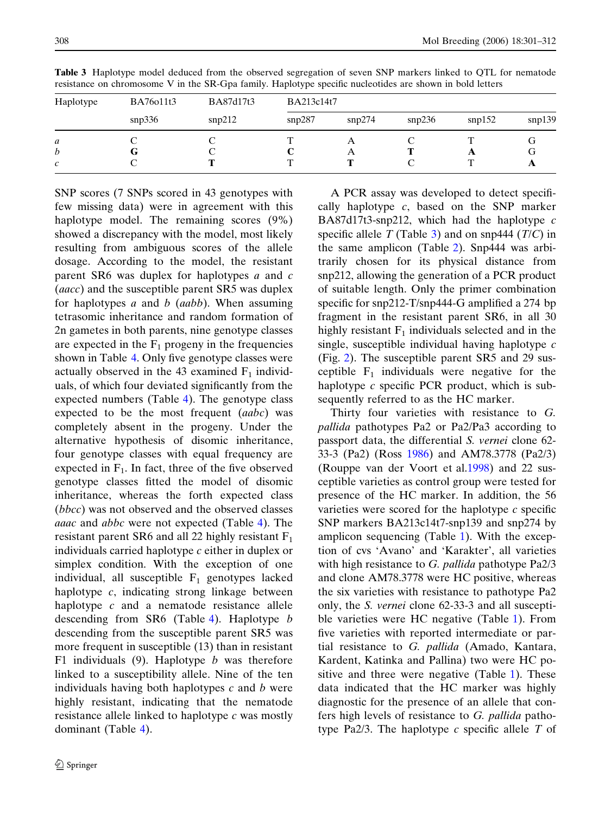| Haplotype     | BA76011t3 | BA87d17t3 | BA213c14t7 |        |        |        |        |
|---------------|-----------|-----------|------------|--------|--------|--------|--------|
|               | snp336    | snp212    | snp287     | snp274 | snp236 | snp152 | snp139 |
| a             |           |           |            |        |        |        |        |
| b             |           |           |            | A      |        | н      |        |
| $\mathcal{C}$ |           |           |            |        |        |        |        |

<span id="page-7-0"></span>Table 3 Haplotype model deduced from the observed segregation of seven SNP markers linked to QTL for nematode resistance on chromosome V in the SR-Gpa family. Haplotype specific nucleotides are shown in bold letters

SNP scores (7 SNPs scored in 43 genotypes with few missing data) were in agreement with this haplotype model. The remaining scores (9%) showed a discrepancy with the model, most likely resulting from ambiguous scores of the allele dosage. According to the model, the resistant parent SR6 was duplex for haplotypes a and c (aacc) and the susceptible parent SR5 was duplex for haplotypes  $a$  and  $b$  ( $aabb$ ). When assuming tetrasomic inheritance and random formation of 2n gametes in both parents, nine genotype classes are expected in the  $F_1$  progeny in the frequencies shown in Table [4.](#page-8-0) Only five genotype classes were actually observed in the 43 examined  $F_1$  individuals, of which four deviated significantly from the expected numbers (Table [4\)](#page-8-0). The genotype class expected to be the most frequent (aabc) was completely absent in the progeny. Under the alternative hypothesis of disomic inheritance, four genotype classes with equal frequency are expected in  $F_1$ . In fact, three of the five observed genotype classes fitted the model of disomic inheritance, whereas the forth expected class (bbcc) was not observed and the observed classes aaac and abbc were not expected (Table [4\)](#page-8-0). The resistant parent SR6 and all 22 highly resistant  $F_1$ individuals carried haplotype  $c$  either in duplex or simplex condition. With the exception of one individual, all susceptible  $F_1$  genotypes lacked haplotype c, indicating strong linkage between haplotype c and a nematode resistance allele descending from SR6 (Table [4](#page-8-0)). Haplotype b descending from the susceptible parent SR5 was more frequent in susceptible (13) than in resistant F1 individuals  $(9)$ . Haplotype *b* was therefore linked to a susceptibility allele. Nine of the ten individuals having both haplotypes  $c$  and  $b$  were highly resistant, indicating that the nematode resistance allele linked to haplotype c was mostly dominant (Table [4\)](#page-8-0).

A PCR assay was developed to detect specifically haplotype  $c$ , based on the SNP marker BA87d17t3-snp212, which had the haplotype c specific allele T (Table 3) and on snp444 ( $T/C$ ) in the same amplicon (Table [2\)](#page-5-0). Snp444 was arbitrarily chosen for its physical distance from snp212, allowing the generation of a PCR product of suitable length. Only the primer combination specific for snp212-T/snp444-G amplified a 274 bp fragment in the resistant parent SR6, in all 30 highly resistant  $F_1$  individuals selected and in the single, susceptible individual having haplotype  $c$ (Fig. [2](#page-9-0)). The susceptible parent SR5 and 29 susceptible  $F_1$  individuals were negative for the haplotype c specific PCR product, which is subsequently referred to as the HC marker.

Thirty four varieties with resistance to G. pallida pathotypes Pa2 or Pa2/Pa3 according to passport data, the differential S. vernei clone 62- 33-3 (Pa2) (Ross [1986](#page-11-0)) and AM78.3778 (Pa2/3) (Rouppe van der Voort et al.[1998\)](#page-11-0) and 22 susceptible varieties as control group were tested for presence of the HC marker. In addition, the 56 varieties were scored for the haplotype c specific SNP markers BA213c14t7-snp139 and snp274 by amplicon sequencing (Table [1\)](#page-3-0). With the exception of cvs 'Avano' and 'Karakter', all varieties with high resistance to G. *pallida* pathotype Pa2/3 and clone AM78.3778 were HC positive, whereas the six varieties with resistance to pathotype Pa2 only, the S. vernei clone 62-33-3 and all susceptible varieties were HC negative (Table [1\)](#page-3-0). From five varieties with reported intermediate or partial resistance to G. pallida (Amado, Kantara, Kardent, Katinka and Pallina) two were HC positive and three were negative (Table [1](#page-3-0)). These data indicated that the HC marker was highly diagnostic for the presence of an allele that confers high levels of resistance to G. pallida pathotype Pa2/3. The haplotype  $c$  specific allele  $T$  of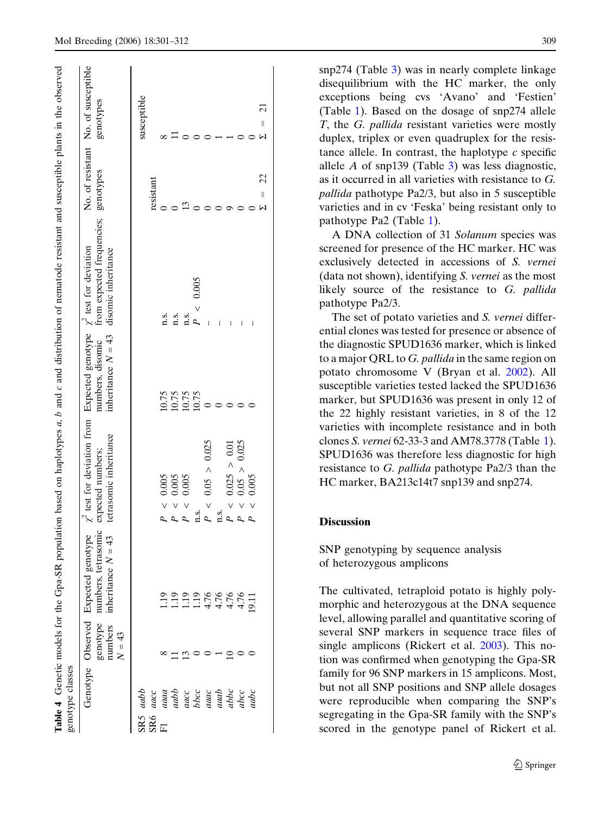<span id="page-8-0"></span>

|                | genotype classes                                                                                                                                       |                     |                                                                   |                                                                                                                                                     |                                          | Table 4 Genetic models for the Gpa-SR population based on haplotypes a, b and c and distribution of nematode resistant and susceptible plants in the observed |                   |                                                  |
|----------------|--------------------------------------------------------------------------------------------------------------------------------------------------------|---------------------|-------------------------------------------------------------------|-----------------------------------------------------------------------------------------------------------------------------------------------------|------------------------------------------|---------------------------------------------------------------------------------------------------------------------------------------------------------------|-------------------|--------------------------------------------------|
|                |                                                                                                                                                        | numbers<br>$N = 43$ | genotype numbers, tetrasomic expected numbers;<br>inheritance $N$ | Genotype Observed Expected genotype $\chi^2$ test for deviation from Expected genotype $\chi^2$ test for deviation<br>$= 43$ tetrasomic inheritance | inheritance $N = 43$ disomic inheritance | numbers, disomic from expected frequencies; genotypes                                                                                                         |                   | No. of resistant No. of susceptible<br>genotypes |
|                | $SRS \; aabb$                                                                                                                                          |                     |                                                                   |                                                                                                                                                     |                                          |                                                                                                                                                               |                   | susceptible                                      |
| SR6            | aacc                                                                                                                                                   |                     |                                                                   |                                                                                                                                                     |                                          |                                                                                                                                                               | resistant         |                                                  |
| $\overline{E}$ | aaaa                                                                                                                                                   |                     | $-19$                                                             | $P \le 0.005$                                                                                                                                       | 10.75                                    | n.s.                                                                                                                                                          |                   |                                                  |
|                | aabb                                                                                                                                                   |                     | e<br>E                                                            | $P \, < \, 0.005$                                                                                                                                   | 10.75                                    | n.s.                                                                                                                                                          |                   |                                                  |
|                |                                                                                                                                                        |                     | 1.19                                                              | $P \le 0.005$                                                                                                                                       |                                          | n.s.                                                                                                                                                          |                   |                                                  |
|                | aacc<br>bbcc                                                                                                                                           |                     |                                                                   |                                                                                                                                                     | 10.75                                    | $P \le 0.005$                                                                                                                                                 |                   |                                                  |
|                |                                                                                                                                                        |                     | $1.1888811$<br>$1.788811$<br>$1.788811$                           | $P \le 0.05 > 0.025$                                                                                                                                |                                          |                                                                                                                                                               |                   |                                                  |
|                | $\begin{array}{l} \mathit{aaaa} \\ \mathit{a} \\ \mathit{ab} \\ \mathit{bc} \\ \mathit{abc} \\ \mathit{abc} \\ \mathit{abc} \\ \mathit{0} \end{array}$ |                     |                                                                   | n.s.                                                                                                                                                |                                          | $\overline{\phantom{a}}$                                                                                                                                      |                   |                                                  |
|                |                                                                                                                                                        |                     |                                                                   |                                                                                                                                                     |                                          |                                                                                                                                                               |                   |                                                  |
|                |                                                                                                                                                        |                     |                                                                   | $P < 0.025 > 0.01$<br>$P < 0.05 > 0.025$<br>$P < 0.005$                                                                                             |                                          |                                                                                                                                                               |                   |                                                  |
|                |                                                                                                                                                        |                     |                                                                   |                                                                                                                                                     |                                          |                                                                                                                                                               |                   |                                                  |
|                |                                                                                                                                                        |                     |                                                                   |                                                                                                                                                     |                                          |                                                                                                                                                               | 22<br>$\parallel$ | $\overline{c}$<br>$\frac{1}{2}$                  |

snp274 (Table [3](#page-7-0)) was in nearly complete linkage disequilibrium with the HC marker, the only exceptions being cvs 'Avano' and 'Festien' (Table [1\)](#page-3-0). Based on the dosage of snp274 allele T, the G. pallida resistant varieties were mostly duplex, triplex or even quadruplex for the resistance allele. In contrast, the haplotype  $c$  specific allele  $A$  of snp139 (Table [3\)](#page-7-0) was less diagnostic, as it occurred in all varieties with resistance to G. pallida pathotype Pa2/3, but also in 5 susceptible varieties and in cv 'Feska' being resistant only to pathotype Pa2 (Table [1](#page-3-0)).

A DNA collection of 31 Solanum species was screened for presence of the HC marker. HC was exclusively detected in accessions of S. vernei (data not shown), identifying S. vernei as the most likely source of the resistance to G. pallida pathotype Pa2/3.

The set of potato varieties and S. vernei differential clones was tested for presence or absence of the diagnostic SPUD1636 marker, which is linked to a major QRL to G. pallida in the same region on potato chromosome V (Bryan et al. [2002\)](#page-11-0). All susceptible varieties tested lacked the SPUD1636 marker, but SPUD1636 was present in only 12 of the 22 highly resistant varieties, in 8 of the 12 varieties with incomplete resistance and in both clones S. vernei 62-33-3 and AM78.3778 (Table [1\)](#page-3-0). SPUD1636 was therefore less diagnostic for high resistance to G. pallida pathotype Pa2/3 than the HC marker, BA213c14t7 snp139 and snp274.

#### **Discussion**

SNP genotyping by sequence analysis of heterozygous amplicons

The cultivated, tetraploid potato is highly polymorphic and heterozygous at the DNA sequence level, allowing parallel and quantitative scoring of several SNP markers in sequence trace files of single amplicons (Rickert et al. [2003](#page-11-0)). This notion was confirmed when genotyping the Gpa-SR family for 96 SNP markers in 15 amplicons. Most, but not all SNP positions and SNP allele dosages were reproducible when comparing the SNP's segregating in the Gpa-SR family with the SNP's scored in the genotype panel of Rickert et al.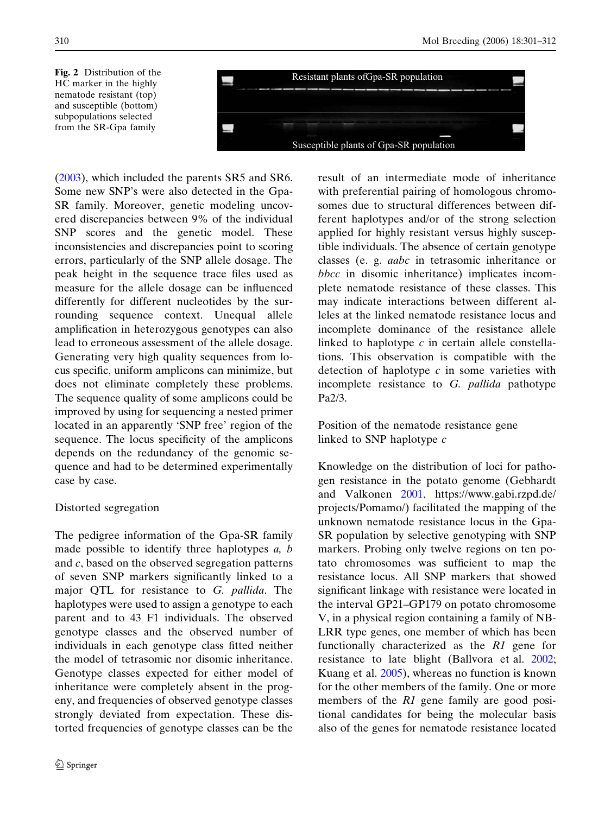HC marker in the highly nematode resistant (top) and susceptible (bottom) subpopulations selected from the SR-Gpa family

<span id="page-9-0"></span>

[\(2003](#page-11-0)), which included the parents SR5 and SR6. Some new SNP's were also detected in the Gpa-SR family. Moreover, genetic modeling uncovered discrepancies between 9% of the individual SNP scores and the genetic model. These inconsistencies and discrepancies point to scoring errors, particularly of the SNP allele dosage. The peak height in the sequence trace files used as measure for the allele dosage can be influenced differently for different nucleotides by the surrounding sequence context. Unequal allele amplification in heterozygous genotypes can also lead to erroneous assessment of the allele dosage. Generating very high quality sequences from locus specific, uniform amplicons can minimize, but does not eliminate completely these problems. The sequence quality of some amplicons could be improved by using for sequencing a nested primer located in an apparently 'SNP free' region of the sequence. The locus specificity of the amplicons depends on the redundancy of the genomic sequence and had to be determined experimentally case by case.

# Distorted segregation

The pedigree information of the Gpa-SR family made possible to identify three haplotypes  $a, b$ and c, based on the observed segregation patterns of seven SNP markers significantly linked to a major QTL for resistance to G. pallida. The haplotypes were used to assign a genotype to each parent and to 43 F1 individuals. The observed genotype classes and the observed number of individuals in each genotype class fitted neither the model of tetrasomic nor disomic inheritance. Genotype classes expected for either model of inheritance were completely absent in the progeny, and frequencies of observed genotype classes strongly deviated from expectation. These distorted frequencies of genotype classes can be the result of an intermediate mode of inheritance with preferential pairing of homologous chromosomes due to structural differences between different haplotypes and/or of the strong selection applied for highly resistant versus highly susceptible individuals. The absence of certain genotype classes (e. g. aabc in tetrasomic inheritance or bbcc in disomic inheritance) implicates incomplete nematode resistance of these classes. This may indicate interactions between different alleles at the linked nematode resistance locus and incomplete dominance of the resistance allele linked to haplotype  $c$  in certain allele constellations. This observation is compatible with the detection of haplotype  $c$  in some varieties with incomplete resistance to G. pallida pathotype Pa2/3.

# Position of the nematode resistance gene linked to SNP haplotype  $c$

Knowledge on the distribution of loci for pathogen resistance in the potato genome (Gebhardt and Valkonen [2001,](#page-11-0) https://www.gabi.rzpd.de/ projects/Pomamo/) facilitated the mapping of the unknown nematode resistance locus in the Gpa-SR population by selective genotyping with SNP markers. Probing only twelve regions on ten potato chromosomes was sufficient to map the resistance locus. All SNP markers that showed significant linkage with resistance were located in the interval GP21–GP179 on potato chromosome V, in a physical region containing a family of NB-LRR type genes, one member of which has been functionally characterized as the R1 gene for resistance to late blight (Ballvora et al. [2002;](#page-11-0) Kuang et al. [2005](#page-11-0)), whereas no function is known for the other members of the family. One or more members of the R1 gene family are good positional candidates for being the molecular basis also of the genes for nematode resistance located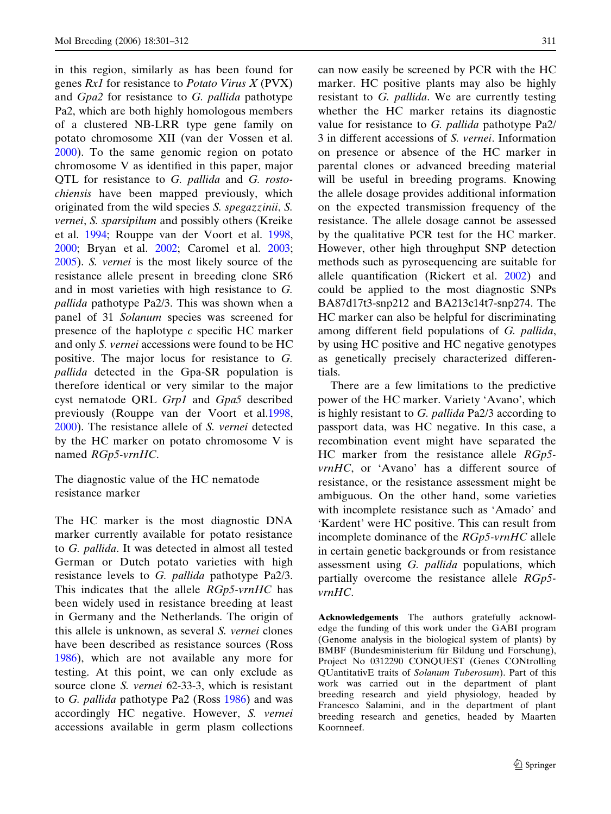in this region, similarly as has been found for genes  $Rx1$  for resistance to *Potato Virus X* (PVX) and Gpa2 for resistance to G. pallida pathotype Pa2, which are both highly homologous members of a clustered NB-LRR type gene family on potato chromosome XII (van der Vossen et al. [2000\)](#page-11-0). To the same genomic region on potato chromosome V as identified in this paper, major QTL for resistance to G. pallida and G. rostochiensis have been mapped previously, which originated from the wild species S. spegazzinii, S. vernei, S. sparsipilum and possibly others (Kreike et al. [1994;](#page-11-0) Rouppe van der Voort et al. [1998,](#page-11-0) [2000;](#page-11-0) Bryan et al. [2002](#page-11-0); Caromel et al. [2003;](#page-11-0) [2005\)](#page-11-0). S. vernei is the most likely source of the resistance allele present in breeding clone SR6 and in most varieties with high resistance to G. pallida pathotype Pa2/3. This was shown when a panel of 31 Solanum species was screened for presence of the haplotype c specific HC marker and only S. vernei accessions were found to be HC positive. The major locus for resistance to G. pallida detected in the Gpa-SR population is therefore identical or very similar to the major cyst nematode QRL Grp1 and Gpa5 described previously (Rouppe van der Voort et al.[1998,](#page-11-0) [2000\)](#page-11-0). The resistance allele of S. vernei detected by the HC marker on potato chromosome V is named RGp5-vrnHC.

The diagnostic value of the HC nematode resistance marker

The HC marker is the most diagnostic DNA marker currently available for potato resistance to G. pallida. It was detected in almost all tested German or Dutch potato varieties with high resistance levels to G. pallida pathotype Pa2/3. This indicates that the allele RGp5-vrnHC has been widely used in resistance breeding at least in Germany and the Netherlands. The origin of this allele is unknown, as several S. vernei clones have been described as resistance sources (Ross [1986\)](#page-11-0), which are not available any more for testing. At this point, we can only exclude as source clone *S. vernei* 62-33-3, which is resistant to *G. pallida* pathotype Pa2 (Ross  $1986$ ) and was accordingly HC negative. However, S. vernei accessions available in germ plasm collections can now easily be screened by PCR with the HC marker. HC positive plants may also be highly resistant to G. pallida. We are currently testing whether the HC marker retains its diagnostic value for resistance to G. pallida pathotype Pa2/ 3 in different accessions of S. vernei. Information on presence or absence of the HC marker in parental clones or advanced breeding material will be useful in breeding programs. Knowing the allele dosage provides additional information on the expected transmission frequency of the resistance. The allele dosage cannot be assessed by the qualitative PCR test for the HC marker. However, other high throughput SNP detection methods such as pyrosequencing are suitable for allele quantification (Rickert et al. [2002\)](#page-11-0) and could be applied to the most diagnostic SNPs BA87d17t3-snp212 and BA213c14t7-snp274. The HC marker can also be helpful for discriminating among different field populations of G. pallida, by using HC positive and HC negative genotypes as genetically precisely characterized differentials.

There are a few limitations to the predictive power of the HC marker. Variety 'Avano', which is highly resistant to G. pallida Pa2/3 according to passport data, was HC negative. In this case, a recombination event might have separated the HC marker from the resistance allele RGp5vrnHC, or 'Avano' has a different source of resistance, or the resistance assessment might be ambiguous. On the other hand, some varieties with incomplete resistance such as 'Amado' and 'Kardent' were HC positive. This can result from incomplete dominance of the RGp5-vrnHC allele in certain genetic backgrounds or from resistance assessment using G. pallida populations, which partially overcome the resistance allele RGp5 vrnHC.

Acknowledgements The authors gratefully acknowledge the funding of this work under the GABI program (Genome analysis in the biological system of plants) by BMBF (Bundesministerium für Bildung und Forschung), Project No 0312290 CONQUEST (Genes CONtrolling QUantitativE traits of Solanum Tuberosum). Part of this work was carried out in the department of plant breeding research and yield physiology, headed by Francesco Salamini, and in the department of plant breeding research and genetics, headed by Maarten Koornneef.